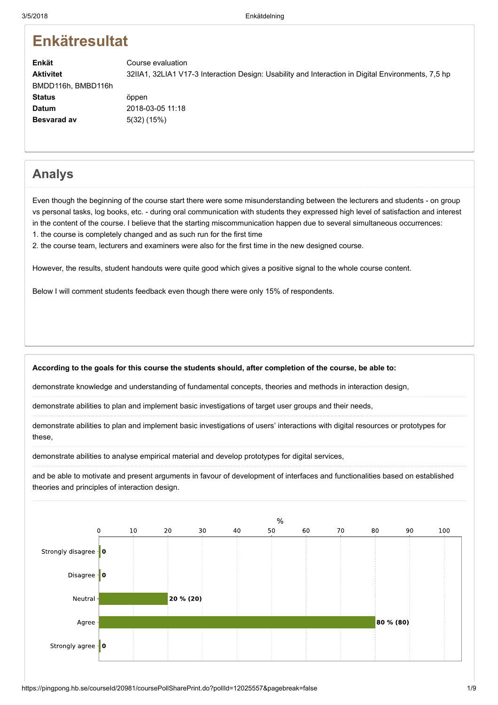# **Enkätresultat**

Enkät Aktivitet **Status** Datum Besvarad av Course evaluation 32IIA1, 32LIA1 V17-3 Interaction Design: Usability and Interaction in Digital Environments, 7,5 hp BMDD116h, BMBD116h öppen 2018-03-05 11:18 5(32) (15%)

## Analys

Even though the beginning of the course start there were some misunderstanding between the lecturers and students - on group vs personal tasks, log books, etc. - during oral communication with students they expressed high level of satisfaction and interest in the content of the course. I believe that the starting miscommunication happen due to several simultaneous occurrences: 1. the course is completely changed and as such run for the first time

2. the course team, lecturers and examiners were also for the first time in the new designed course.

However, the results, student handouts were quite good which gives a positive signal to the whole course content.

Below I will comment students feedback even though there were only 15% of respondents.

#### According to the goals for this course the students should, after completion of the course, be able to:

demonstrate knowledge and understanding of fundamental concepts, theories and methods in interaction design,

demonstrate abilities to plan and implement basic investigations of target user groups and their needs,

demonstrate abilities to plan and implement basic investigations of users' interactions with digital resources or prototypes for these,

demonstrate abilities to analyse empirical material and develop prototypes for digital services,

and be able to motivate and present arguments in favour of development of interfaces and functionalities based on established theories and principles of interaction design.

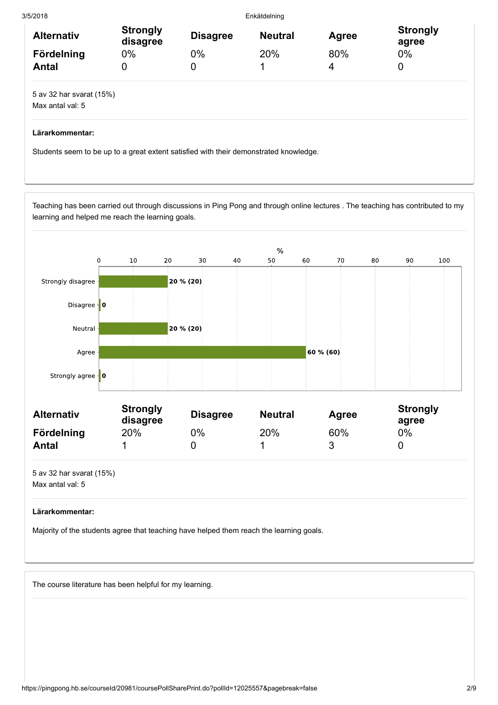3/5/2018 Enkätdelning Alternativ Strongly<br>disagree Strongly Disagree Neutral Agree Strongly<br>disagree Disagree Neutral Agree agree agree Fördelning 0% 0% 20% 80% 0% Antal 0 0 0 1 4 0 5 av 32 har svarat (15%) Max antal val: 5

### Lärarkommentar:

Students seem to be up to a great extent satisfied with their demonstrated knowledge.

Teaching has been carried out through discussions in Ping Pong and through online lectures . The teaching has contributed to my learning and helped me reach the learning goals.



| <b>Alternativ</b> | <b>Strongly</b><br>disagree | <b>Disagree</b> | <b>Neutral</b> | Agree | <b>Strongly</b><br>agree |
|-------------------|-----------------------------|-----------------|----------------|-------|--------------------------|
| Fördelning        | 20%                         | 0%              | 20%            | 60%   | 0%                       |
| Antal             |                             |                 |                |       |                          |

5 av 32 har svarat (15%) Max antal val: 5

#### Lärarkommentar:

Majority of the students agree that teaching have helped them reach the learning goals.

The course literature has been helpful for my learning.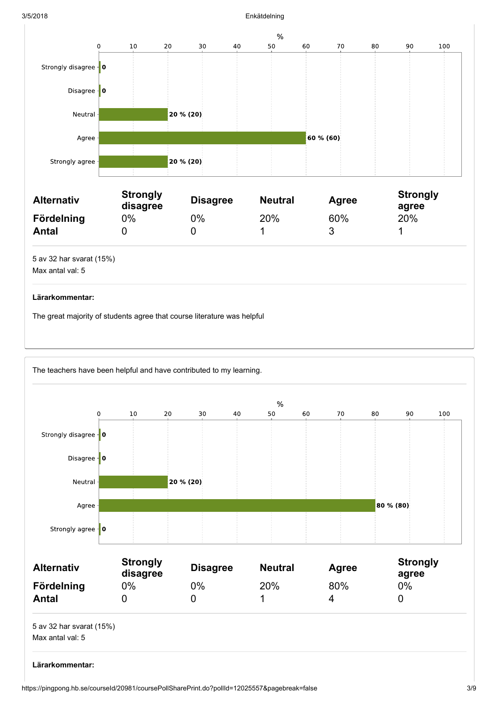#### 3/5/2018 Enkätdelning



The great majority of students agree that course literature was helpful

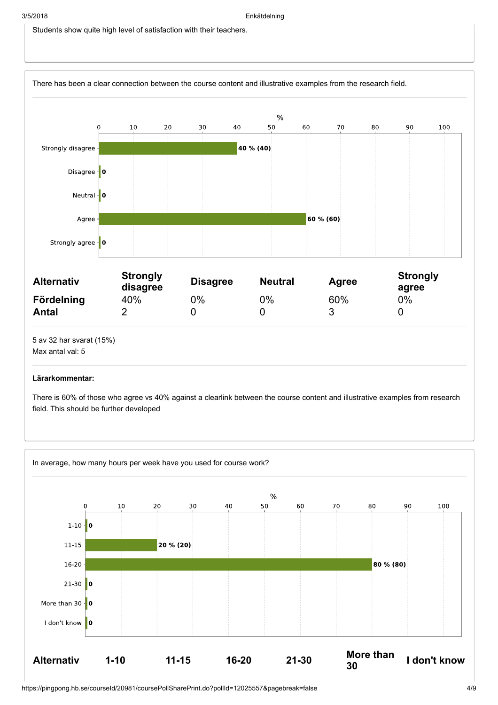Students show quite high level of satisfaction with their teachers.



#### Lärarkommentar:

There is 60% of those who agree vs 40% against a clearlink between the course content and illustrative examples from research field. This should be further developed

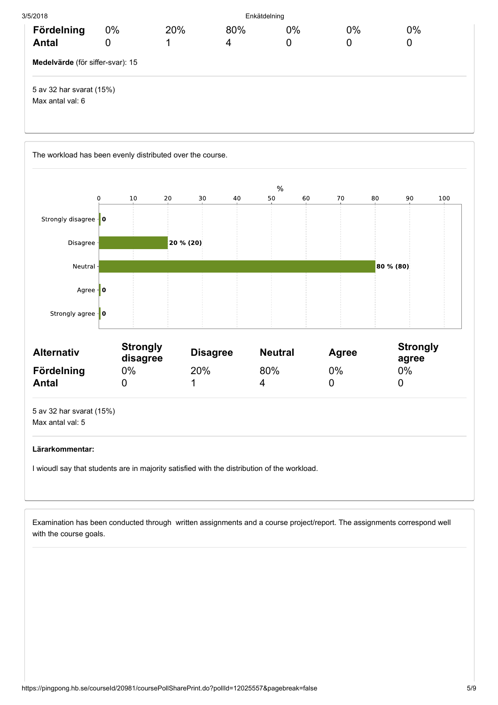| 3/5/2018                                     |            |     | Enkätdelning |         |         |         |  |
|----------------------------------------------|------------|-----|--------------|---------|---------|---------|--|
| Fördelning<br><b>Antal</b>                   | $0\%$<br>0 | 20% | 80%<br>4     | 0%<br>0 | 0%<br>0 | 0%<br>0 |  |
| Medelvärde (för siffer-svar): 15             |            |     |              |         |         |         |  |
| 5 av 32 har svarat (15%)<br>Max antal val: 6 |            |     |              |         |         |         |  |



Examination has been conducted through written assignments and a course project/report. The assignments correspond well with the course goals.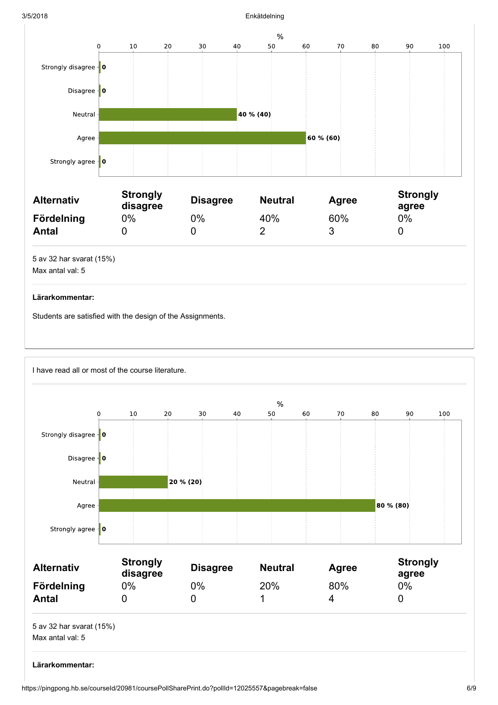#### 3/5/2018 Enkätdelning



#### Lärarkommentar:

Students are satisfied with the design of the Assignments.

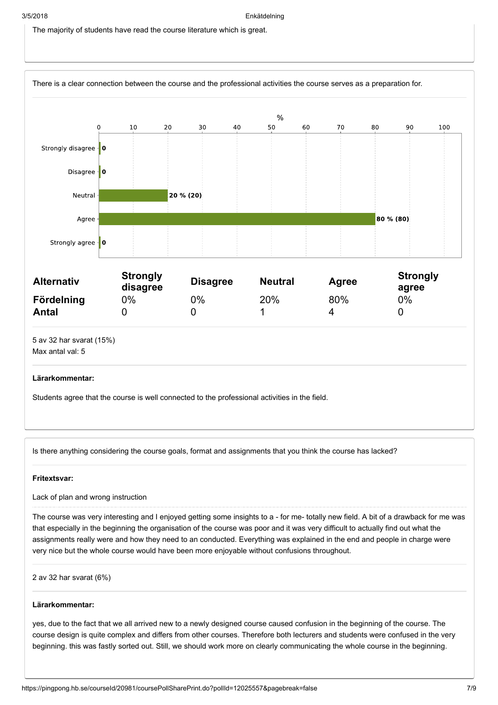The majority of students have read the course literature which is great.



| <b>Alternativ</b> | <b>Strongly</b><br>disagree | <b>Disagree</b> | <b>Neutral</b> | Agree | <b>Strongly</b><br>agree |
|-------------------|-----------------------------|-----------------|----------------|-------|--------------------------|
| Fördelning        | 0%                          | 0%              | 20%            | 80%   | 0%                       |
| <b>Antal</b>      |                             |                 |                |       |                          |
|                   |                             |                 |                |       |                          |

5 av 32 har svarat (15%) Max antal val: 5

#### Lärarkommentar:

Students agree that the course is well connected to the professional activities in the field.

Is there anything considering the course goals, format and assignments that you think the course has lacked?

#### Fritextsvar:

Lack of plan and wrong instruction

The course was very interesting and I enjoyed getting some insights to a - for me- totally new field. A bit of a drawback for me was that especially in the beginning the organisation of the course was poor and it was very difficult to actually find out what the assignments really were and how they need to an conducted. Everything was explained in the end and people in charge were very nice but the whole course would have been more enjoyable without confusions throughout.

2 av 32 har svarat (6%)

#### Lärarkommentar:

yes, due to the fact that we all arrived new to a newly designed course caused confusion in the beginning of the course. The course design is quite complex and differs from other courses. Therefore both lecturers and students were confused in the very beginning. this was fastly sorted out. Still, we should work more on clearly communicating the whole course in the beginning.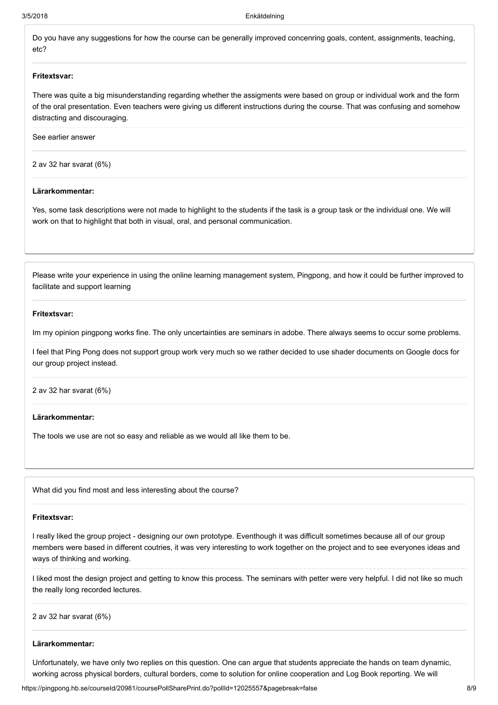Do you have any suggestions for how the course can be generally improved concenring goals, content, assignments, teaching, etc?

#### Fritextsvar:

There was quite a big misunderstanding regarding whether the assigments were based on group or individual work and the form of the oral presentation. Even teachers were giving us different instructions during the course. That was confusing and somehow distracting and discouraging.

See earlier answer

2 av 32 har svarat (6%)

#### Lärarkommentar:

Yes, some task descriptions were not made to highlight to the students if the task is a group task or the individual one. We will work on that to highlight that both in visual, oral, and personal communication.

Please write your experience in using the online learning management system, Pingpong, and how it could be further improved to facilitate and support learning

#### Fritextsvar:

Im my opinion pingpong works fine. The only uncertainties are seminars in adobe. There always seems to occur some problems.

I feel that Ping Pong does not support group work very much so we rather decided to use shader documents on Google docs for our group project instead.

2 av 32 har svarat (6%)

#### Lärarkommentar:

The tools we use are not so easy and reliable as we would all like them to be.

What did you find most and less interesting about the course?

#### Fritextsvar:

I really liked the group project - designing our own prototype. Eventhough it was difficult sometimes because all of our group members were based in different coutries, it was very interesting to work together on the project and to see everyones ideas and ways of thinking and working.

I liked most the design project and getting to know this process. The seminars with petter were very helpful. I did not like so much the really long recorded lectures.

2 av 32 har svarat (6%)

#### Lärarkommentar:

Unfortunately, we have only two replies on this question. One can argue that students appreciate the hands on team dynamic, working across physical borders, cultural borders, come to solution for online cooperation and Log Book reporting. We will